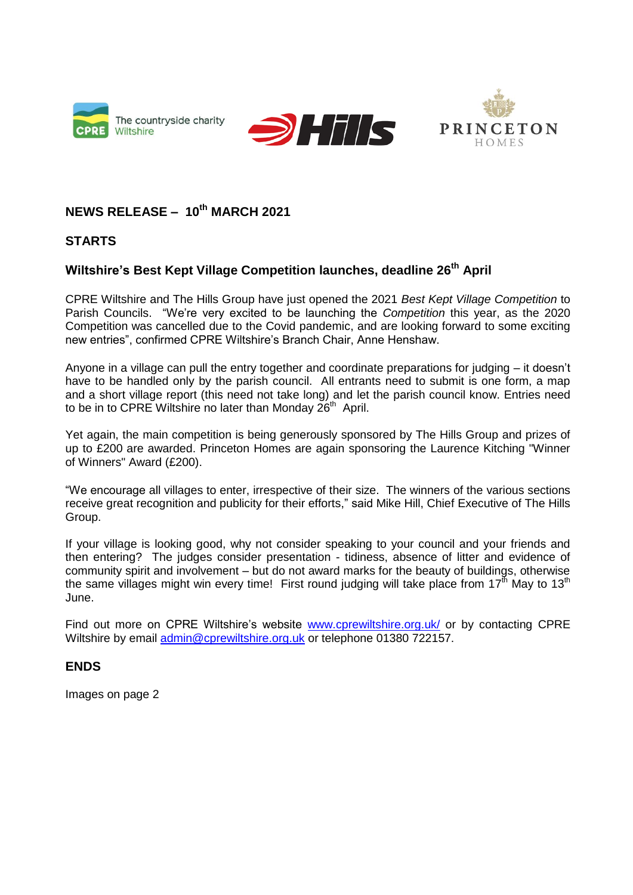





## **NEWS RELEASE – 10th MARCH 2021**

## **STARTS**

## **Wiltshire's Best Kept Village Competition launches, deadline 26th April**

CPRE Wiltshire and The Hills Group have just opened the 2021 *Best Kept Village Competition* to Parish Councils. "We're very excited to be launching the *Competition* this year, as the 2020 Competition was cancelled due to the Covid pandemic, and are looking forward to some exciting new entries", confirmed CPRE Wiltshire's Branch Chair, Anne Henshaw.

Anyone in a village can pull the entry together and coordinate preparations for judging – it doesn't have to be handled only by the parish council. All entrants need to submit is one form, a map and a short village report (this need not take long) and let the parish council know. Entries need to be in to CPRE Wiltshire no later than Monday 26<sup>th</sup> April.

Yet again, the main competition is being generously sponsored by The Hills Group and prizes of up to £200 are awarded. Princeton Homes are again sponsoring the Laurence Kitching "Winner of Winners" Award (£200).

"We encourage all villages to enter, irrespective of their size. The winners of the various sections receive great recognition and publicity for their efforts," said Mike Hill, Chief Executive of The Hills Group.

If your village is looking good, why not consider speaking to your council and your friends and then entering? The judges consider presentation - tidiness, absence of litter and evidence of community spirit and involvement – but do not award marks for the beauty of buildings, otherwise the same villages might win every time! First round judging will take place from 17<sup>th</sup> May to 13<sup>th</sup> June.

Find out more on CPRE Wiltshire's website [www.cprewiltshire.org.uk/](about:blank) or by contacting CPRE Wiltshire by email [admin@cprewiltshire.org.uk](about:blank) or telephone 01380 722157.

## **ENDS**

Images on page 2